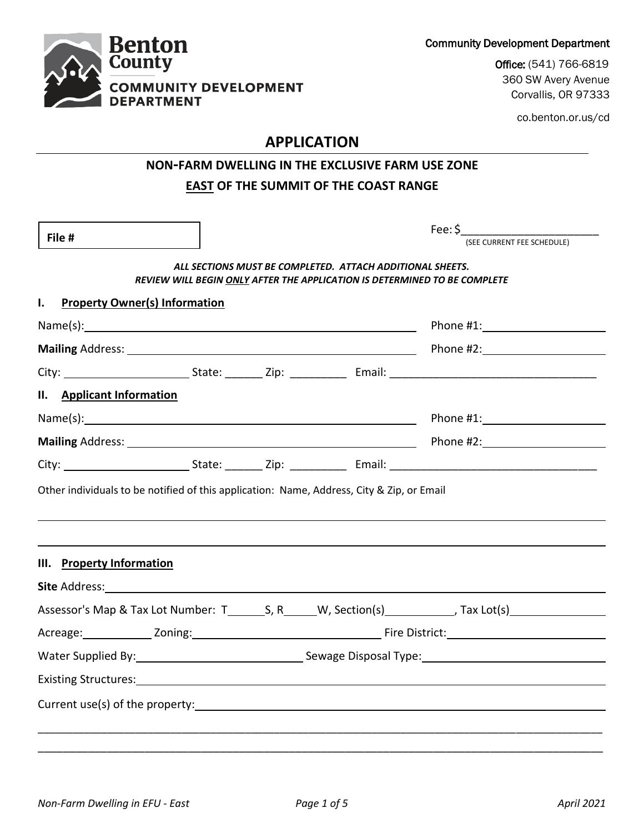Community Development Department

Office: (541) 766-6819 360 SW Avery Avenue Corvallis, OR 97333

co.benton.or.us/cd

# **APPLICATION**

## **NON-FARM DWELLING IN THE EXCLUSIVE FARM USE ZONE EAST OF THE SUMMIT OF THE COAST RANGE**

| File #                                                                                                                                                                                                                                   |  |                                                           | Fee: \$<br>(SEE CURRENT FEE SCHEDULE)                                                                |
|------------------------------------------------------------------------------------------------------------------------------------------------------------------------------------------------------------------------------------------|--|-----------------------------------------------------------|------------------------------------------------------------------------------------------------------|
|                                                                                                                                                                                                                                          |  |                                                           |                                                                                                      |
|                                                                                                                                                                                                                                          |  | ALL SECTIONS MUST BE COMPLETED. ATTACH ADDITIONAL SHEETS. | REVIEW WILL BEGIN ONLY AFTER THE APPLICATION IS DETERMINED TO BE COMPLETE                            |
| $\mathbf{I}$ .<br><b>Property Owner(s) Information</b>                                                                                                                                                                                   |  |                                                           |                                                                                                      |
|                                                                                                                                                                                                                                          |  |                                                           |                                                                                                      |
|                                                                                                                                                                                                                                          |  |                                                           |                                                                                                      |
|                                                                                                                                                                                                                                          |  |                                                           |                                                                                                      |
| II. Applicant Information                                                                                                                                                                                                                |  |                                                           |                                                                                                      |
|                                                                                                                                                                                                                                          |  |                                                           | Phone #1: New York Phone #1:                                                                         |
|                                                                                                                                                                                                                                          |  |                                                           |                                                                                                      |
|                                                                                                                                                                                                                                          |  |                                                           |                                                                                                      |
|                                                                                                                                                                                                                                          |  |                                                           |                                                                                                      |
|                                                                                                                                                                                                                                          |  |                                                           |                                                                                                      |
|                                                                                                                                                                                                                                          |  |                                                           |                                                                                                      |
|                                                                                                                                                                                                                                          |  |                                                           |                                                                                                      |
|                                                                                                                                                                                                                                          |  |                                                           |                                                                                                      |
|                                                                                                                                                                                                                                          |  |                                                           | Water Supplied By: National According Sewage Disposal Type: National According Sewage Disposal Type: |
| Other individuals to be notified of this application: Name, Address, City & Zip, or Email<br>III. Property Information<br>Existing Structures: Notified and Structures and Structures and Structures and Structures and Structures and S |  |                                                           |                                                                                                      |

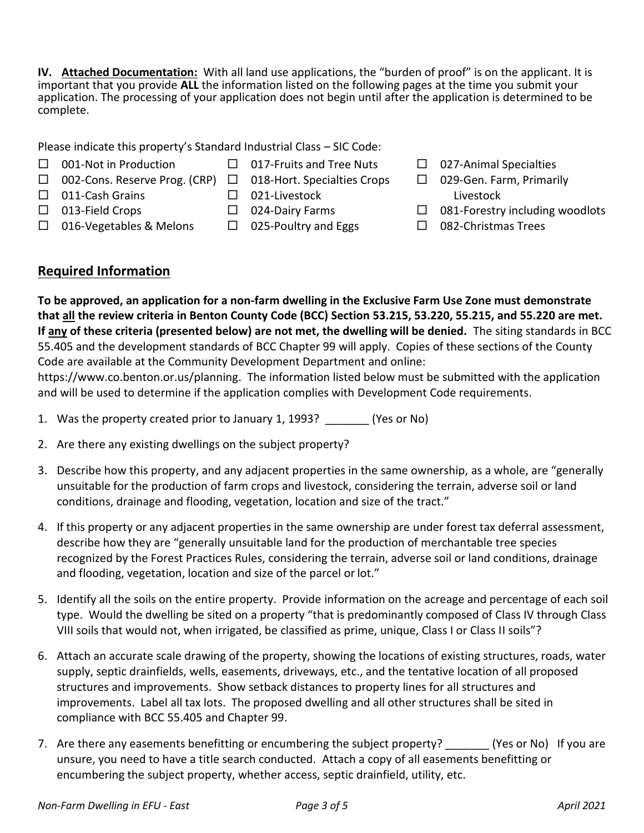**IV. Attached Documentation:** With all land use applications, the "burden of proof" is on the applicant. It is important that you provide **ALL** the information listed on the following pages at the time you submit your application. The processing of your application does not begin until after the application is determined to be complete.

Please indicate this property's Standard Industrial Class – SIC Code:

- $\Box$  001-Not in Production  $\Box$  017-Fruits and Tree Nuts
- □ 002-Cons. Reserve Prog. (CRP) □ 018-Hort. Specialties Crops
- 
- $\Box$  011-Cash Grains
- $\Box$  021-Livestock □ 024-Dairy Farms
- $\Box$  013-Field Crops  $\Box$  016-Vegetables & Melons
- - $\Box$  025-Poultry and Eggs
- $\Box$  027-Animal Specialties
- □ 029-Gen. Farm, Primarily Livestock
- $\Box$  081-Forestry including woodlots
- □ 082-Christmas Trees

### **Required Information**

**To be approved, an application for a non-farm dwelling in the Exclusive Farm Use Zone must demonstrate that all the review criteria in Benton County Code (BCC) Section 53.215, 53.220, 55.215, and 55.220 are met. If any of these criteria (presented below) are not met, the dwelling will be denied.** The siting standards in BCC 55.405 and the development standards of BCC Chapter 99 will apply. Copies of these sections of the County Code are available at the Community Development Department and online:

https://www.co.benton.or.us/planning. The information listed below must be submitted with the application and will be used to determine if the application complies with Development Code requirements.

- 1. Was the property created prior to January 1, 1993? \_\_\_\_\_\_\_ (Yes or No)
- 2. Are there any existing dwellings on the subject property?
- 3. Describe how this property, and any adjacent properties in the same ownership, as a whole, are "generally unsuitable for the production of farm crops and livestock, considering the terrain, adverse soil or land conditions, drainage and flooding, vegetation, location and size of the tract."
- 4. If this property or any adjacent properties in the same ownership are under forest tax deferral assessment, describe how they are "generally unsuitable land for the production of merchantable tree species recognized by the Forest Practices Rules, considering the terrain, adverse soil or land conditions, drainage and flooding, vegetation, location and size of the parcel or lot."
- 5. Identify all the soils on the entire property. Provide information on the acreage and percentage of each soil type. Would the dwelling be sited on a property "that is predominantly composed of Class IV through Class VIII soils that would not, when irrigated, be classified as prime, unique, Class I or Class II soils"?
- 6. Attach an accurate scale drawing of the property, showing the locations of existing structures, roads, water supply, septic drainfields, wells, easements, driveways, etc., and the tentative location of all proposed structures and improvements. Show setback distances to property lines for all structures and improvements. Label all tax lots. The proposed dwelling and all other structures shall be sited in compliance with BCC 55.405 and Chapter 99.
- 7. Are there any easements benefitting or encumbering the subject property? (Yes or No) If you are unsure, you need to have a title search conducted. Attach a copy of all easements benefitting or encumbering the subject property, whether access, septic drainfield, utility, etc.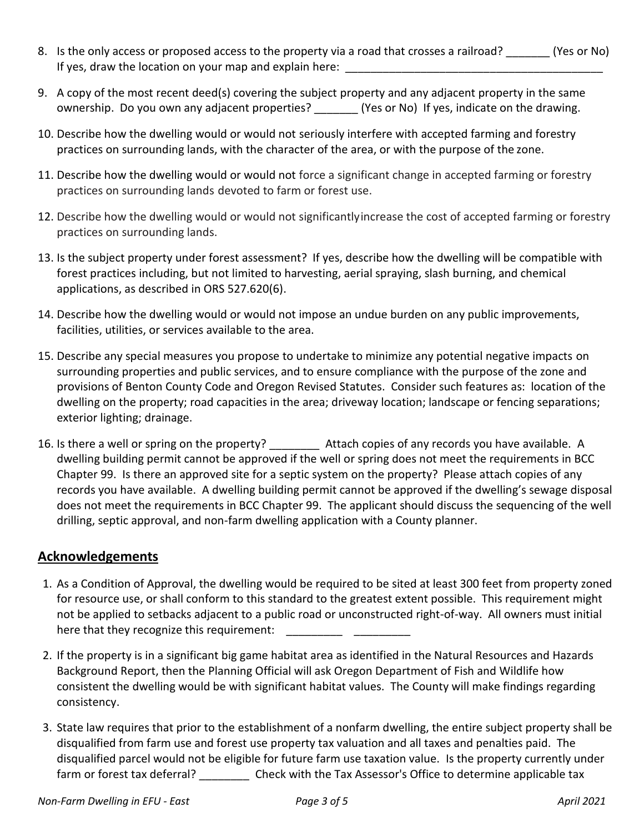- 8. Is the only access or proposed access to the property via a road that crosses a railroad? (Yes or No) If yes, draw the location on your map and explain here:
- 9. A copy of the most recent deed(s) covering the subject property and any adjacent property in the same ownership. Do you own any adjacent properties? \_\_\_\_\_\_\_ (Yes or No) If yes, indicate on the drawing.
- 10. Describe how the dwelling would or would not seriously interfere with accepted farming and forestry practices on surrounding lands, with the character of the area, or with the purpose of the zone.
- 11. Describe how the dwelling would or would not force a significant change in accepted farming or forestry practices on surrounding lands devoted to farm or forest use.
- 12. Describe how the dwelling would or would not significantlyincrease the cost of accepted farming or forestry practices on surrounding lands.
- 13. Is the subject property under forest assessment? If yes, describe how the dwelling will be compatible with forest practices including, but not limited to harvesting, aerial spraying, slash burning, and chemical applications, as described in ORS 527.620(6).
- 14. Describe how the dwelling would or would not impose an undue burden on any public improvements, facilities, utilities, or services available to the area.
- 15. Describe any special measures you propose to undertake to minimize any potential negative impacts on surrounding properties and public services, and to ensure compliance with the purpose of the zone and provisions of Benton County Code and Oregon Revised Statutes. Consider such features as: location of the dwelling on the property; road capacities in the area; driveway location; landscape or fencing separations; exterior lighting; drainage.
- 16. Is there a well or spring on the property? \_\_\_\_\_\_\_\_\_\_ Attach copies of any records you have available. A dwelling building permit cannot be approved if the well or spring does not meet the requirements in BCC Chapter 99. Is there an approved site for a septic system on the property? Please attach copies of any records you have available. A dwelling building permit cannot be approved if the dwelling's sewage disposal does not meet the requirements in BCC Chapter 99. The applicant should discuss the sequencing of the well drilling, septic approval, and non-farm dwelling application with a County planner.

#### **Acknowledgements**

- 1. As a Condition of Approval, the dwelling would be required to be sited at least 300 feet from property zoned for resource use, or shall conform to this standard to the greatest extent possible. This requirement might not be applied to setbacks adjacent to a public road or unconstructed right-of-way. All owners must initial here that they recognize this requirement:
- 2. If the property is in a significant big game habitat area as identified in the Natural Resources and Hazards Background Report, then the Planning Official will ask Oregon Department of Fish and Wildlife how consistent the dwelling would be with significant habitat values. The County will make findings regarding consistency.
- 3. State law requires that prior to the establishment of a nonfarm dwelling, the entire subject property shall be disqualified from farm use and forest use property tax valuation and all taxes and penalties paid. The disqualified parcel would not be eligible for future farm use taxation value. Is the property currently under farm or forest tax deferral? \_\_\_\_\_\_\_\_\_\_\_ Check with the Tax Assessor's Office to determine applicable tax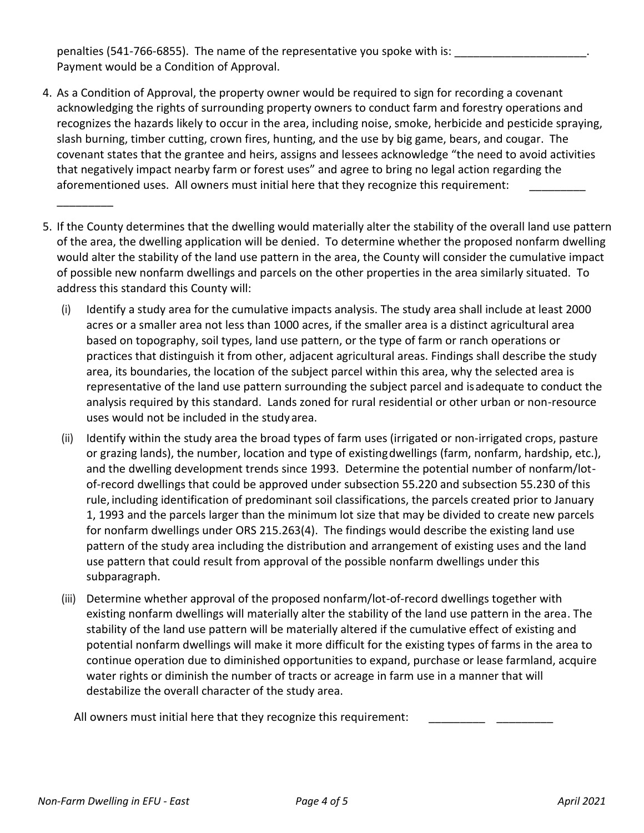penalties (541-766-6855). The name of the representative you spoke with is: Payment would be a Condition of Approval.

- 4. As a Condition of Approval, the property owner would be required to sign for recording a covenant acknowledging the rights of surrounding property owners to conduct farm and forestry operations and recognizes the hazards likely to occur in the area, including noise, smoke, herbicide and pesticide spraying, slash burning, timber cutting, crown fires, hunting, and the use by big game, bears, and cougar. The covenant states that the grantee and heirs, assigns and lessees acknowledge "the need to avoid activities that negatively impact nearby farm or forest uses" and agree to bring no legal action regarding the aforementioned uses. All owners must initial here that they recognize this requirement:
- 5. If the County determines that the dwelling would materially alter the stability of the overall land use pattern of the area, the dwelling application will be denied. To determine whether the proposed nonfarm dwelling would alter the stability of the land use pattern in the area, the County will consider the cumulative impact of possible new nonfarm dwellings and parcels on the other properties in the area similarly situated. To address this standard this County will:
	- (i) Identify a study area for the cumulative impacts analysis. The study area shall include at least 2000 acres or a smaller area not less than 1000 acres, if the smaller area is a distinct agricultural area based on topography, soil types, land use pattern, or the type of farm or ranch operations or practices that distinguish it from other, adjacent agricultural areas. Findings shall describe the study area, its boundaries, the location of the subject parcel within this area, why the selected area is representative of the land use pattern surrounding the subject parcel and isadequate to conduct the analysis required by this standard. Lands zoned for rural residential or other urban or non-resource uses would not be included in the studyarea.
	- (ii) Identify within the study area the broad types of farm uses (irrigated or non-irrigated crops, pasture or grazing lands), the number, location and type of existingdwellings (farm, nonfarm, hardship, etc.), and the dwelling development trends since 1993. Determine the potential number of nonfarm/lotof-record dwellings that could be approved under subsection 55.220 and subsection 55.230 of this rule, including identification of predominant soil classifications, the parcels created prior to January 1, 1993 and the parcels larger than the minimum lot size that may be divided to create new parcels for nonfarm dwellings under ORS 215.263(4). The findings would describe the existing land use pattern of the study area including the distribution and arrangement of existing uses and the land use pattern that could result from approval of the possible nonfarm dwellings under this subparagraph.
	- (iii) Determine whether approval of the proposed nonfarm/lot-of-record dwellings together with existing nonfarm dwellings will materially alter the stability of the land use pattern in the area. The stability of the land use pattern will be materially altered if the cumulative effect of existing and potential nonfarm dwellings will make it more difficult for the existing types of farms in the area to continue operation due to diminished opportunities to expand, purchase or lease farmland, acquire water rights or diminish the number of tracts or acreage in farm use in a manner that will destabilize the overall character of the study area.

All owners must initial here that they recognize this requirement:

\_\_\_\_\_\_\_\_\_